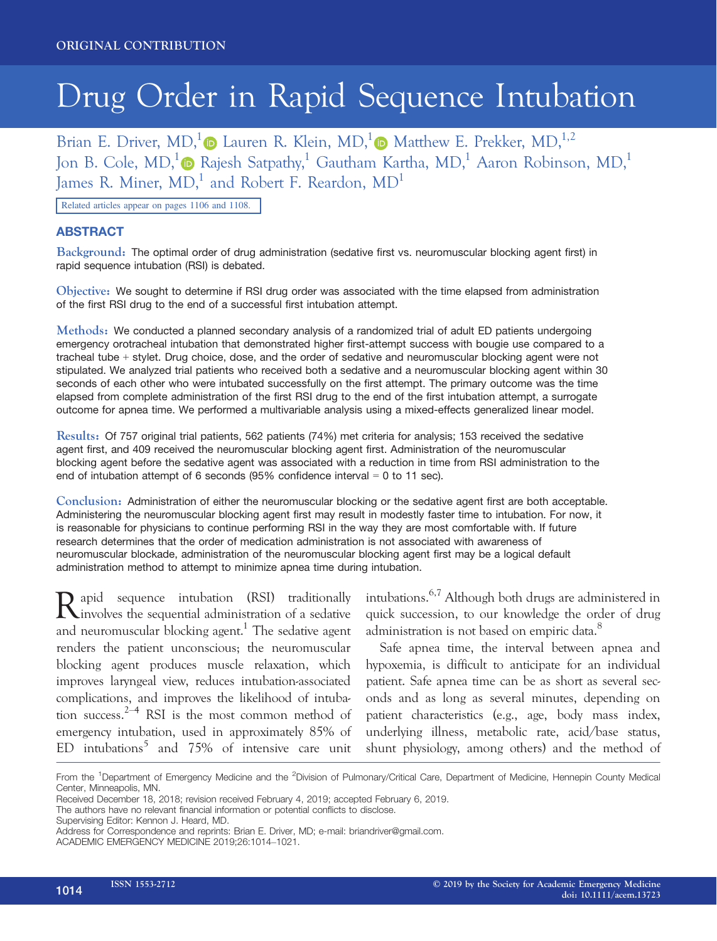# Drug Order in Rapid Sequence Intubation

Brian E. Driver, MD,<sup>[1](https://orcid.org/0000-0003-0669-9265)</sup> Lauren R. Klein, MD,<sup>1</sup> D Matthew E. Prekker, MD,<sup>1,2</sup> Jon B. Cole,  $MD<sup>1</sup>$  Rajesh Satpathy,<sup>1</sup> Gautham Kartha,  $MD<sup>1</sup>$  Aaron Robinson,  $MD<sup>1</sup>$ James R. Miner,  $MD<sup>1</sup>$  and Robert F. Reardon,  $MD<sup>1</sup>$ 

Related articles appear on pages 1106 and 1108.

## ABSTRACT

Background: The optimal order of drug administration (sedative first vs. neuromuscular blocking agent first) in rapid sequence intubation (RSI) is debated.

Objective: We sought to determine if RSI drug order was associated with the time elapsed from administration of the first RSI drug to the end of a successful first intubation attempt.

Methods: We conducted a planned secondary analysis of a randomized trial of adult ED patients undergoing emergency orotracheal intubation that demonstrated higher first-attempt success with bougie use compared to a tracheal tube + stylet. Drug choice, dose, and the order of sedative and neuromuscular blocking agent were not stipulated. We analyzed trial patients who received both a sedative and a neuromuscular blocking agent within 30 seconds of each other who were intubated successfully on the first attempt. The primary outcome was the time elapsed from complete administration of the first RSI drug to the end of the first intubation attempt, a surrogate outcome for apnea time. We performed a multivariable analysis using a mixed-effects generalized linear model.

Results: Of 757 original trial patients, 562 patients (74%) met criteria for analysis; 153 received the sedative agent first, and 409 received the neuromuscular blocking agent first. Administration of the neuromuscular blocking agent before the sedative agent was associated with a reduction in time from RSI administration to the end of intubation attempt of 6 seconds (95% confidence interval = 0 to 11 sec).

Conclusion: Administration of either the neuromuscular blocking or the sedative agent first are both acceptable. Administering the neuromuscular blocking agent first may result in modestly faster time to intubation. For now, it is reasonable for physicians to continue performing RSI in the way they are most comfortable with. If future research determines that the order of medication administration is not associated with awareness of neuromuscular blockade, administration of the neuromuscular blocking agent first may be a logical default administration method to attempt to minimize apnea time during intubation.

Rapid sequence intubation (RSI) traditionally<br>involves the sequential administration of a sedative and neuromuscular blocking agent.<sup>1</sup> The sedative agent renders the patient unconscious; the neuromuscular blocking agent produces muscle relaxation, which improves laryngeal view, reduces intubation-associated complications, and improves the likelihood of intubation success.<sup>2–4</sup> RSI is the most common method of emergency intubation, used in approximately 85% of ED intubations<sup>5</sup> and  $75\%$  of intensive care unit

intubations.6,7 Although both drugs are administered in quick succession, to our knowledge the order of drug administration is not based on empiric data.<sup>8</sup>

Safe apnea time, the interval between apnea and hypoxemia, is difficult to anticipate for an individual patient. Safe apnea time can be as short as several seconds and as long as several minutes, depending on patient characteristics (e.g., age, body mass index, underlying illness, metabolic rate, acid/base status, shunt physiology, among others) and the method of

From the <sup>1</sup>Department of Emergency Medicine and the <sup>2</sup>Division of Pulmonary/Critical Care, Department of Medicine, Hennepin County Medical Center, Minneapolis, MN.

Received December 18, 2018; revision received February 4, 2019; accepted February 6, 2019.

The authors have no relevant financial information or potential conflicts to disclose.

Supervising Editor: Kennon J. Heard, MD.

Address for Correspondence and reprints: Brian E. Driver, MD; e-mail: [briandriver@gmail.com.](mailto:)

ACADEMIC EMERGENCY MEDICINE 2019;26:1014–1021.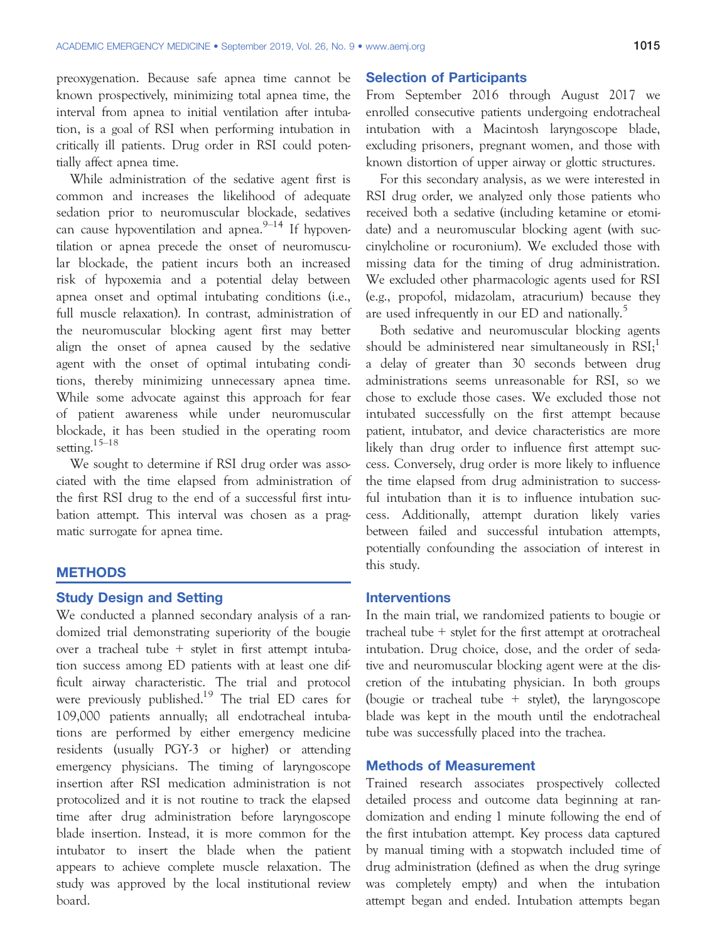preoxygenation. Because safe apnea time cannot be known prospectively, minimizing total apnea time, the interval from apnea to initial ventilation after intubation, is a goal of RSI when performing intubation in critically ill patients. Drug order in RSI could potentially affect apnea time.

While administration of the sedative agent first is common and increases the likelihood of adequate sedation prior to neuromuscular blockade, sedatives can cause hypoventilation and apnea. $9-14$  If hypoventilation or apnea precede the onset of neuromuscular blockade, the patient incurs both an increased risk of hypoxemia and a potential delay between apnea onset and optimal intubating conditions (i.e., full muscle relaxation). In contrast, administration of the neuromuscular blocking agent first may better align the onset of apnea caused by the sedative agent with the onset of optimal intubating conditions, thereby minimizing unnecessary apnea time. While some advocate against this approach for fear of patient awareness while under neuromuscular blockade, it has been studied in the operating room setting.15–<sup>18</sup>

We sought to determine if RSI drug order was associated with the time elapsed from administration of the first RSI drug to the end of a successful first intubation attempt. This interval was chosen as a pragmatic surrogate for apnea time.

#### **METHODS**

#### Study Design and Setting

We conducted a planned secondary analysis of a randomized trial demonstrating superiority of the bougie over a tracheal tube  $+$  stylet in first attempt intubation success among ED patients with at least one difficult airway characteristic. The trial and protocol were previously published.<sup>19</sup> The trial ED cares for 109,000 patients annually; all endotracheal intubations are performed by either emergency medicine residents (usually PGY-3 or higher) or attending emergency physicians. The timing of laryngoscope insertion after RSI medication administration is not protocolized and it is not routine to track the elapsed time after drug administration before laryngoscope blade insertion. Instead, it is more common for the intubator to insert the blade when the patient appears to achieve complete muscle relaxation. The study was approved by the local institutional review board.

#### Selection of Participants

From September 2016 through August 2017 we enrolled consecutive patients undergoing endotracheal intubation with a Macintosh laryngoscope blade, excluding prisoners, pregnant women, and those with known distortion of upper airway or glottic structures.

For this secondary analysis, as we were interested in RSI drug order, we analyzed only those patients who received both a sedative (including ketamine or etomidate) and a neuromuscular blocking agent (with succinylcholine or rocuronium). We excluded those with missing data for the timing of drug administration. We excluded other pharmacologic agents used for RSI (e.g., propofol, midazolam, atracurium) because they are used infrequently in our ED and nationally.<sup>5</sup>

Both sedative and neuromuscular blocking agents should be administered near simultaneously in  $RSI;$ <sup>1</sup> a delay of greater than 30 seconds between drug administrations seems unreasonable for RSI, so we chose to exclude those cases. We excluded those not intubated successfully on the first attempt because patient, intubator, and device characteristics are more likely than drug order to influence first attempt success. Conversely, drug order is more likely to influence the time elapsed from drug administration to successful intubation than it is to influence intubation success. Additionally, attempt duration likely varies between failed and successful intubation attempts, potentially confounding the association of interest in this study.

#### **Interventions**

In the main trial, we randomized patients to bougie or tracheal tube + stylet for the first attempt at orotracheal intubation. Drug choice, dose, and the order of sedative and neuromuscular blocking agent were at the discretion of the intubating physician. In both groups (bougie or tracheal tube  $+$  stylet), the laryngoscope blade was kept in the mouth until the endotracheal tube was successfully placed into the trachea.

#### Methods of Measurement

Trained research associates prospectively collected detailed process and outcome data beginning at randomization and ending 1 minute following the end of the first intubation attempt. Key process data captured by manual timing with a stopwatch included time of drug administration (defined as when the drug syringe was completely empty) and when the intubation attempt began and ended. Intubation attempts began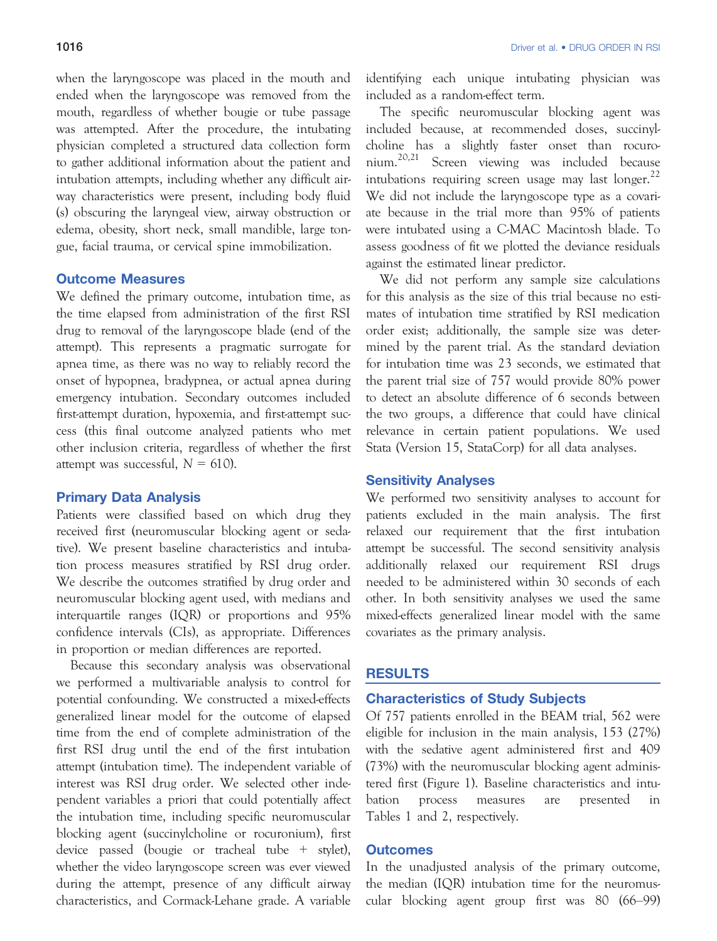when the laryngoscope was placed in the mouth and ended when the laryngoscope was removed from the mouth, regardless of whether bougie or tube passage was attempted. After the procedure, the intubating physician completed a structured data collection form to gather additional information about the patient and intubation attempts, including whether any difficult airway characteristics were present, including body fluid (s) obscuring the laryngeal view, airway obstruction or edema, obesity, short neck, small mandible, large tongue, facial trauma, or cervical spine immobilization.

#### Outcome Measures

We defined the primary outcome, intubation time, as the time elapsed from administration of the first RSI drug to removal of the laryngoscope blade (end of the attempt). This represents a pragmatic surrogate for apnea time, as there was no way to reliably record the onset of hypopnea, bradypnea, or actual apnea during emergency intubation. Secondary outcomes included first-attempt duration, hypoxemia, and first-attempt success (this final outcome analyzed patients who met other inclusion criteria, regardless of whether the first attempt was successful,  $N = 610$ ).

#### Primary Data Analysis

Patients were classified based on which drug they received first (neuromuscular blocking agent or sedative). We present baseline characteristics and intubation process measures stratified by RSI drug order. We describe the outcomes stratified by drug order and neuromuscular blocking agent used, with medians and interquartile ranges (IQR) or proportions and 95% confidence intervals (CIs), as appropriate. Differences in proportion or median differences are reported.

Because this secondary analysis was observational we performed a multivariable analysis to control for potential confounding. We constructed a mixed-effects generalized linear model for the outcome of elapsed time from the end of complete administration of the first RSI drug until the end of the first intubation attempt (intubation time). The independent variable of interest was RSI drug order. We selected other independent variables a priori that could potentially affect the intubation time, including specific neuromuscular blocking agent (succinylcholine or rocuronium), first device passed (bougie or tracheal tube + stylet), whether the video laryngoscope screen was ever viewed during the attempt, presence of any difficult airway characteristics, and Cormack-Lehane grade. A variable

identifying each unique intubating physician was included as a random-effect term.

The specific neuromuscular blocking agent was included because, at recommended doses, succinylcholine has a slightly faster onset than rocuronium.20,21 Screen viewing was included because intubations requiring screen usage may last longer.<sup>22</sup> We did not include the laryngoscope type as a covariate because in the trial more than 95% of patients were intubated using a C-MAC Macintosh blade. To assess goodness of fit we plotted the deviance residuals against the estimated linear predictor.

We did not perform any sample size calculations for this analysis as the size of this trial because no estimates of intubation time stratified by RSI medication order exist; additionally, the sample size was determined by the parent trial. As the standard deviation for intubation time was 23 seconds, we estimated that the parent trial size of 757 would provide 80% power to detect an absolute difference of 6 seconds between the two groups, a difference that could have clinical relevance in certain patient populations. We used Stata (Version 15, StataCorp) for all data analyses.

#### Sensitivity Analyses

We performed two sensitivity analyses to account for patients excluded in the main analysis. The first relaxed our requirement that the first intubation attempt be successful. The second sensitivity analysis additionally relaxed our requirement RSI drugs needed to be administered within 30 seconds of each other. In both sensitivity analyses we used the same mixed-effects generalized linear model with the same covariates as the primary analysis.

#### RESULTS

#### Characteristics of Study Subjects

Of 757 patients enrolled in the BEAM trial, 562 were eligible for inclusion in the main analysis, 153 (27%) with the sedative agent administered first and 409 (73%) with the neuromuscular blocking agent administered first (Figure 1). Baseline characteristics and intubation process measures are presented in Tables 1 and 2, respectively.

### **Outcomes**

In the unadjusted analysis of the primary outcome, the median (IQR) intubation time for the neuromuscular blocking agent group first was 80 (66–99)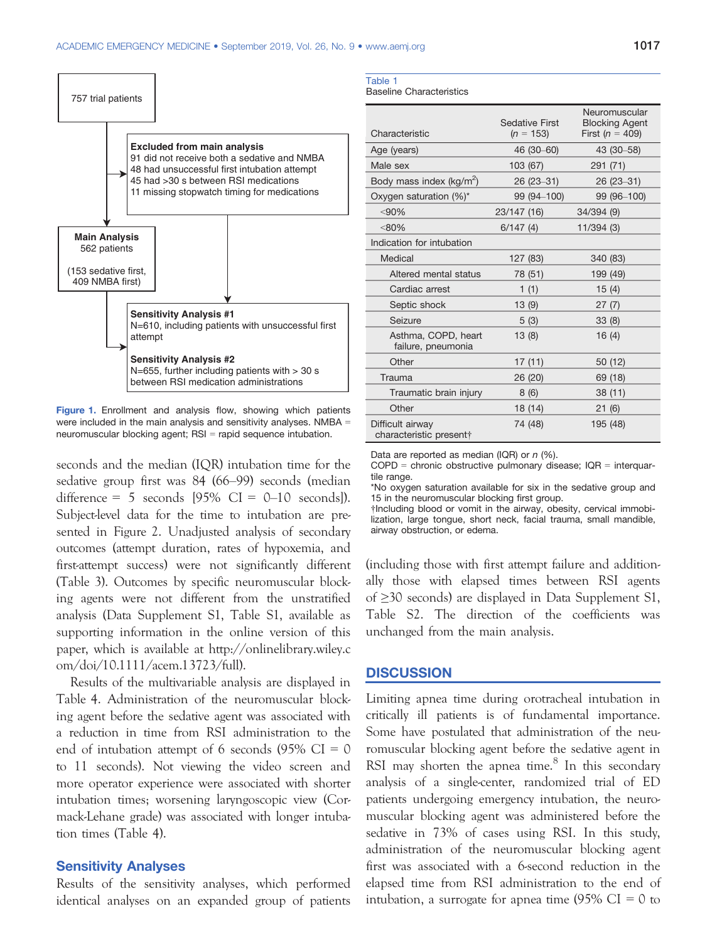

Figure 1. Enrollment and analysis flow, showing which patients were included in the main analysis and sensitivity analyses. NMBA = neuromuscular blocking agent; RSI = rapid sequence intubation.

seconds and the median (IQR) intubation time for the sedative group first was 84 (66–99) seconds (median difference =  $5$  seconds  $[95\% \text{ CI} = 0-10 \text{ seconds}].$ Subject-level data for the time to intubation are presented in Figure 2. Unadjusted analysis of secondary outcomes (attempt duration, rates of hypoxemia, and first-attempt success) were not significantly different (Table 3). Outcomes by specific neuromuscular blocking agents were not different from the unstratified analysis (Data Supplement S1, Table S1, available as supporting information in the online version of this paper, which is available at [http://onlinelibrary.wiley.c](http://onlinelibrary.wiley.com/doi/10.1111/acem.13723/full) [om/doi/10.1111/acem.13723/full\)](http://onlinelibrary.wiley.com/doi/10.1111/acem.13723/full).

Results of the multivariable analysis are displayed in Table 4. Administration of the neuromuscular blocking agent before the sedative agent was associated with a reduction in time from RSI administration to the end of intubation attempt of 6 seconds (95%  $CI = 0$ to 11 seconds). Not viewing the video screen and more operator experience were associated with shorter intubation times; worsening laryngoscopic view (Cormack-Lehane grade) was associated with longer intubation times (Table 4).

#### Sensitivity Analyses

Results of the sensitivity analyses, which performed identical analyses on an expanded group of patients

| Table 1 |               |
|---------|---------------|
|         | Donalina Char |

Baseline Characteristics

| Characteristic                              | Sedative First<br>$(n = 153)$ | Neuromuscular<br><b>Blocking Agent</b><br>First ( $n = 409$ ) |
|---------------------------------------------|-------------------------------|---------------------------------------------------------------|
| Age (years)                                 | 46 (30–60)                    | 43 (30-58)                                                    |
| Male sex                                    | 103 (67)                      | 291 (71)                                                      |
| Body mass index $(kg/m^2)$                  | $26(23-31)$                   | 26 (23-31)                                                    |
| Oxygen saturation (%)*                      | 99 (94-100)                   | 99 (96-100)                                                   |
| < 90%                                       | 23/147 (16)                   | 34/394 (9)                                                    |
| $< 80\%$                                    | 6/147(4)                      | 11/394(3)                                                     |
| Indication for intubation                   |                               |                                                               |
| Medical                                     | 127 (83)                      | 340 (83)                                                      |
| Altered mental status                       | 78 (51)                       | 199 (49)                                                      |
| Cardiac arrest                              | 1(1)                          | 15(4)                                                         |
| Septic shock                                | 13(9)                         | 27(7)                                                         |
| Seizure                                     | 5(3)                          | 33(8)                                                         |
| Asthma, COPD, heart<br>failure, pneumonia   | 13(8)                         | 16(4)                                                         |
| Other                                       | 17(11)                        | 50 (12)                                                       |
| Trauma                                      | 26 (20)                       | 69 (18)                                                       |
| Traumatic brain injury                      | 8(6)                          | 38 (11)                                                       |
| Other                                       | 18 (14)                       | 21(6)                                                         |
| Difficult airway<br>characteristic present† | 74 (48)                       | 195 (48)                                                      |

Data are reported as median (IQR) or  $n$  (%).

COPD = chronic obstructive pulmonary disease; IQR = interquartile range.

\*No oxygen saturation available for six in the sedative group and 15 in the neuromuscular blocking first group.

†Including blood or vomit in the airway, obesity, cervical immobilization, large tongue, short neck, facial trauma, small mandible, airway obstruction, or edema.

(including those with first attempt failure and additionally those with elapsed times between RSI agents of ≥30 seconds) are displayed in Data Supplement S1, Table S2. The direction of the coefficients was unchanged from the main analysis.

#### **DISCUSSION**

Limiting apnea time during orotracheal intubation in critically ill patients is of fundamental importance. Some have postulated that administration of the neuromuscular blocking agent before the sedative agent in RSI may shorten the apnea time. $8$  In this secondary analysis of a single-center, randomized trial of ED patients undergoing emergency intubation, the neuromuscular blocking agent was administered before the sedative in 73% of cases using RSI. In this study, administration of the neuromuscular blocking agent first was associated with a 6-second reduction in the elapsed time from RSI administration to the end of intubation, a surrogate for apnea time  $(95\% \text{ CI} = 0 \text{ to }$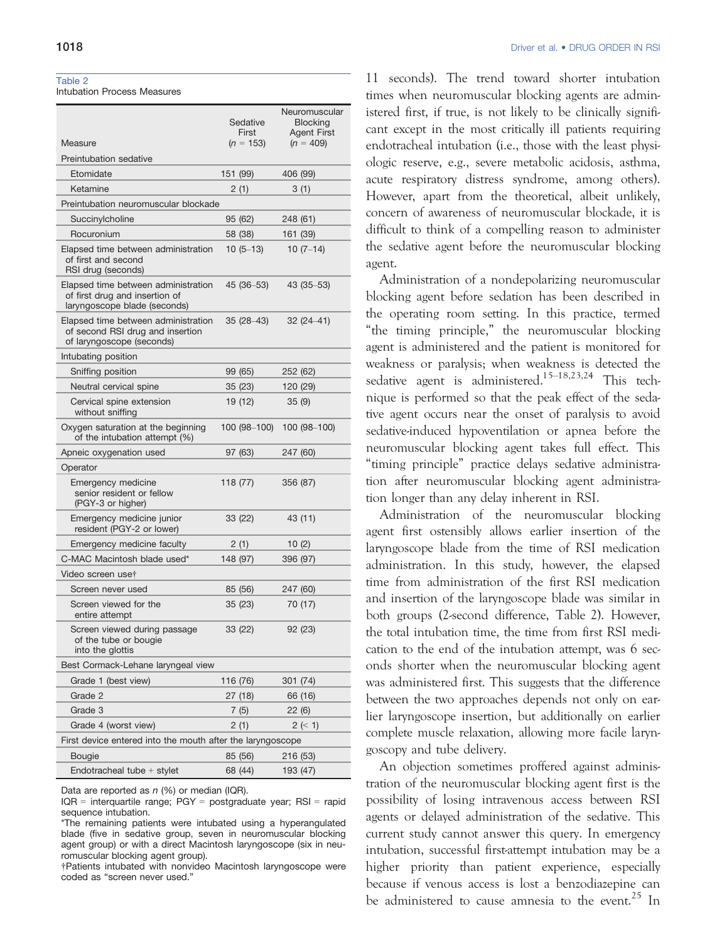#### Table 2

Intubation Process Measures

|                                                                                                       | Sedative<br>First | Neuromuscular<br><b>Blocking</b><br><b>Agent First</b> |  |
|-------------------------------------------------------------------------------------------------------|-------------------|--------------------------------------------------------|--|
| Measure                                                                                               | $(n = 153)$       | $(n = 409)$                                            |  |
| Preintubation sedative                                                                                |                   |                                                        |  |
| Etomidate                                                                                             | 151 (99)          | 406 (99)                                               |  |
| Ketamine                                                                                              | 2(1)              | 3(1)                                                   |  |
| Preintubation neuromuscular blockade                                                                  |                   |                                                        |  |
| Succinylcholine                                                                                       | 95 (62)           | 248 (61)                                               |  |
| Rocuronium                                                                                            | 58 (38)           | 161 (39)                                               |  |
| Elapsed time between administration<br>of first and second<br>RSI drug (seconds)                      | $10(5-13)$        | $10(7-14)$                                             |  |
| Elapsed time between administration<br>of first drug and insertion of<br>laryngoscope blade (seconds) | 45 (36–53)        | $43(35-53)$                                            |  |
| Elapsed time between administration<br>of second RSI drug and insertion<br>of laryngoscope (seconds)  | $35(28-43)$       | $32(24 - 41)$                                          |  |
| Intubating position                                                                                   |                   |                                                        |  |
| Sniffing position                                                                                     | 99 (65)           | 252 (62)                                               |  |
| Neutral cervical spine                                                                                | 35 (23)           | 120 (29)                                               |  |
| Cervical spine extension<br>without sniffing                                                          | 19 (12)           | 35(9)                                                  |  |
| Oxygen saturation at the beginning<br>of the intubation attempt (%)                                   | 100 (98-100)      | $100(98-100)$                                          |  |
| Apneic oxygenation used                                                                               | 97 (63)           | 247 (60)                                               |  |
| Operator                                                                                              |                   |                                                        |  |
| Emergency medicine<br>senior resident or fellow<br>(PGY-3 or higher)                                  | 118 (77)          | 356 (87)                                               |  |
| Emergency medicine junior<br>resident (PGY-2 or lower)                                                | 33 (22)           | 43 (11)                                                |  |
| Emergency medicine faculty                                                                            | 2(1)              | 10 $(2)$                                               |  |
| C-MAC Macintosh blade used*                                                                           | 148 (97)          | 396 (97)                                               |  |
| Video screen use†                                                                                     |                   |                                                        |  |
| Screen never used                                                                                     | 85 (56)           | 247 (60)                                               |  |
| Screen viewed for the<br>entire attempt                                                               | 35(23)            | 70 (17)                                                |  |
| Screen viewed during passage<br>of the tube or bougie<br>into the glottis                             | 33 (22)           | 92 (23)                                                |  |
| Best Cormack-Lehane laryngeal view                                                                    |                   |                                                        |  |
| Grade 1 (best view)                                                                                   | 116 (76)          | 301 (74)                                               |  |
| Grade 2                                                                                               | 27 (18)           | 66 (16)                                                |  |
| Grade 3                                                                                               | 7(5)              | 22(6)                                                  |  |
| Grade 4 (worst view)                                                                                  | 2(1)              | 2 (< 1)                                                |  |
| First device entered into the mouth after the laryngoscope                                            |                   |                                                        |  |
| <b>Bougie</b>                                                                                         | 85 (56)           | 216 (53)                                               |  |
| Endotracheal tube $+$ stylet                                                                          | 68 (44)           | 193 (47)                                               |  |
|                                                                                                       |                   |                                                        |  |

Data are reported as  $n$  (%) or median (IQR).

IQR = interquartile range; PGY = postgraduate year; RSI = rapid sequence intubation.

†Patients intubated with nonvideo Macintosh laryngoscope were coded as "screen never used."

11 seconds). The trend toward shorter intubation times when neuromuscular blocking agents are administered first, if true, is not likely to be clinically significant except in the most critically ill patients requiring endotracheal intubation (i.e., those with the least physiologic reserve, e.g., severe metabolic acidosis, asthma, acute respiratory distress syndrome, among others). However, apart from the theoretical, albeit unlikely, concern of awareness of neuromuscular blockade, it is difficult to think of a compelling reason to administer the sedative agent before the neuromuscular blocking agent.

Administration of a nondepolarizing neuromuscular blocking agent before sedation has been described in the operating room setting. In this practice, termed "the timing principle," the neuromuscular blocking agent is administered and the patient is monitored for weakness or paralysis; when weakness is detected the sedative agent is administered.<sup>15–18,23,24</sup> This technique is performed so that the peak effect of the sedative agent occurs near the onset of paralysis to avoid sedative-induced hypoventilation or apnea before the neuromuscular blocking agent takes full effect. This "timing principle" practice delays sedative administration after neuromuscular blocking agent administration longer than any delay inherent in RSI.

Administration of the neuromuscular blocking agent first ostensibly allows earlier insertion of the laryngoscope blade from the time of RSI medication administration. In this study, however, the elapsed time from administration of the first RSI medication and insertion of the laryngoscope blade was similar in both groups (2-second difference, Table 2). However, the total intubation time, the time from first RSI medication to the end of the intubation attempt, was 6 seconds shorter when the neuromuscular blocking agent was administered first. This suggests that the difference between the two approaches depends not only on earlier laryngoscope insertion, but additionally on earlier complete muscle relaxation, allowing more facile laryngoscopy and tube delivery.

An objection sometimes proffered against administration of the neuromuscular blocking agent first is the possibility of losing intravenous access between RSI agents or delayed administration of the sedative. This current study cannot answer this query. In emergency intubation, successful first-attempt intubation may be a higher priority than patient experience, especially because if venous access is lost a benzodiazepine can be administered to cause amnesia to the event.<sup>25</sup> In

<sup>\*</sup>The remaining patients were intubated using a hyperangulated blade (five in sedative group, seven in neuromuscular blocking agent group) or with a direct Macintosh laryngoscope (six in neuromuscular blocking agent group).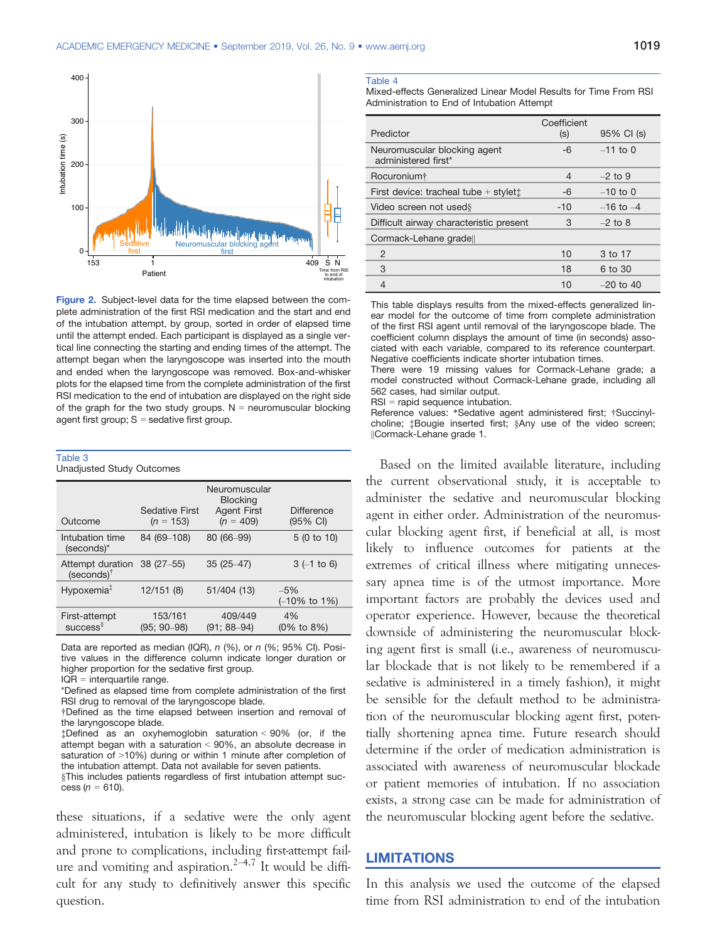

Figure 2. Subject-level data for the time elapsed between the complete administration of the first RSI medication and the start and end of the intubation attempt, by group, sorted in order of elapsed time until the attempt ended. Each participant is displayed as a single vertical line connecting the starting and ending times of the attempt. The attempt began when the laryngoscope was inserted into the mouth and ended when the laryngoscope was removed. Box-and-whisker plots for the elapsed time from the complete administration of the first RSI medication to the end of intubation are displayed on the right side of the graph for the two study groups.  $N =$  neuromuscular blocking agent first group;  $S =$  sedative first group.

| Table 3                          |  |
|----------------------------------|--|
| <b>Unadjusted Study Outcomes</b> |  |

| Outcome                                    | <b>Sedative First</b><br>$(n = 153)$ | Neuromuscular<br><b>Blocking</b><br><b>Agent First</b><br>$(n = 409)$ | <b>Difference</b><br>$(95% \text{ Cl})$ |
|--------------------------------------------|--------------------------------------|-----------------------------------------------------------------------|-----------------------------------------|
| Intubation time<br>(seconds)*              | 84 (69-108)                          | 80 (66-99)                                                            | 5(0 to 10)                              |
| Attempt duration<br>(seconds) <sup>†</sup> | $38(27-55)$                          | $35(25-47)$                                                           | $3(-1)$ to 6)                           |
| Hypoxemia <sup>‡</sup>                     | 12/151(8)                            | 51/404 (13)                                                           | $-5%$<br>$(-10\% \text{ to } 1\%)$      |
| First-attempt<br>$success^{\S}$            | 153/161<br>$(95; 90 - 98)$           | 409/449<br>(91; 88–94)                                                | 4%<br>$(0\% \text{ to } 8\%)$           |

Data are reported as median (IQR), n (%), or n (%; 95% CI). Positive values in the difference column indicate longer duration or higher proportion for the sedative first group.

IQR = interquartile range.

\*Defined as elapsed time from complete administration of the first RSI drug to removal of the laryngoscope blade.

§This includes patients regardless of first intubation attempt success  $(n = 610)$ .

these situations, if a sedative were the only agent administered, intubation is likely to be more difficult and prone to complications, including first-attempt failure and vomiting and aspiration.<sup>2–4,7</sup> It would be difficult for any study to definitively answer this specific question.

#### Table 4

Mixed-effects Generalized Linear Model Results for Time From RSI Administration to End of Intubation Attempt

|                                                     | Coefficient    |               |
|-----------------------------------------------------|----------------|---------------|
| Predictor                                           | (s)            | 95% CI (s)    |
| Neuromuscular blocking agent<br>administered first* | $-6$           | $-11$ to 0    |
| Rocuronium <sup>+</sup>                             | $\overline{4}$ | $-2$ to 9     |
| First device: tracheal tube $+$ stylet $\ddagger$   | -6             | $-10$ to 0    |
| Video screen not used §                             | $-10$          | $-16$ to $-4$ |
| Difficult airway characteristic present             | 3              | $-2$ to 8     |
| Cormack-Lehane grade                                |                |               |
| 2                                                   | 10             | 3 to 17       |
| 3                                                   | 18             | 6 to 30       |
| $\overline{4}$                                      | 10             | $-20$ to 40   |

This table displays results from the mixed-effects generalized linear model for the outcome of time from complete administration of the first RSI agent until removal of the laryngoscope blade. The coefficient column displays the amount of time (in seconds) associated with each variable, compared to its reference counterpart. Negative coefficients indicate shorter intubation times.

There were 19 missing values for Cormack-Lehane grade; a model constructed without Cormack-Lehane grade, including all 562 cases, had similar output.

RSI = rapid sequence intubation.

Reference values: \*Sedative agent administered first; †Succinylcholine; ‡Bougie inserted first; §Any use of the video screen; ||Cormack-Lehane grade 1.

Based on the limited available literature, including the current observational study, it is acceptable to administer the sedative and neuromuscular blocking agent in either order. Administration of the neuromuscular blocking agent first, if beneficial at all, is most likely to influence outcomes for patients at the extremes of critical illness where mitigating unnecessary apnea time is of the utmost importance. More important factors are probably the devices used and operator experience. However, because the theoretical downside of administering the neuromuscular blocking agent first is small (i.e., awareness of neuromuscular blockade that is not likely to be remembered if a sedative is administered in a timely fashion), it might be sensible for the default method to be administration of the neuromuscular blocking agent first, potentially shortening apnea time. Future research should determine if the order of medication administration is associated with awareness of neuromuscular blockade or patient memories of intubation. If no association exists, a strong case can be made for administration of the neuromuscular blocking agent before the sedative.

# **LIMITATIONS**

In this analysis we used the outcome of the elapsed time from RSI administration to end of the intubation

<sup>†</sup>Defined as the time elapsed between insertion and removal of the laryngoscope blade.

<sup>‡</sup>Defined as an oxyhemoglobin saturation < 90% (or, if the attempt began with a saturation < 90%, an absolute decrease in saturation of >10%) during or within 1 minute after completion of the intubation attempt. Data not available for seven patients.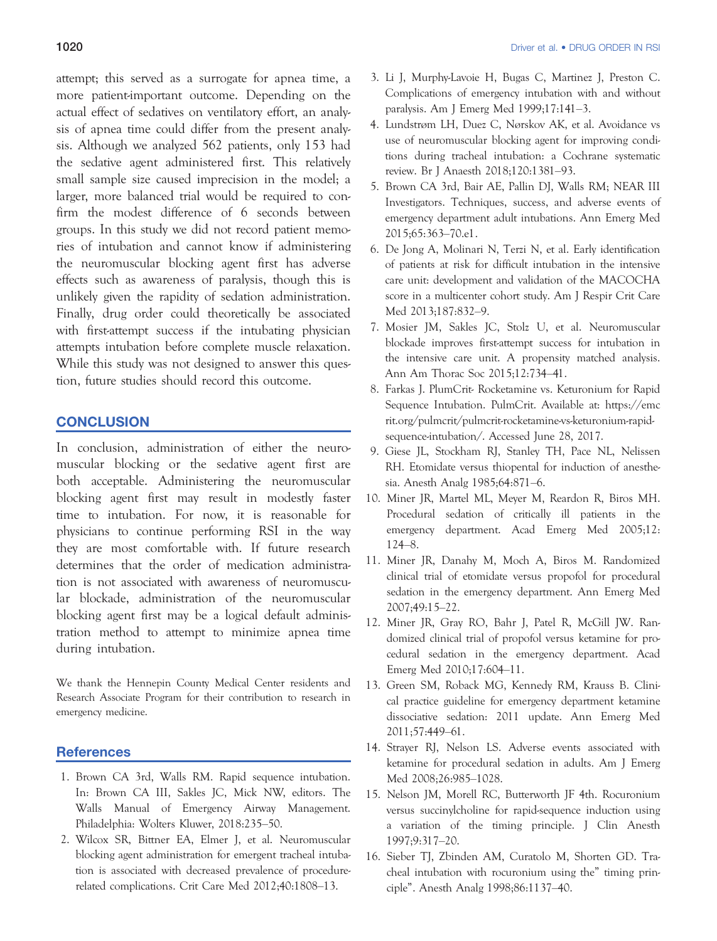attempt; this served as a surrogate for apnea time, a more patient-important outcome. Depending on the actual effect of sedatives on ventilatory effort, an analysis of apnea time could differ from the present analysis. Although we analyzed 562 patients, only 153 had the sedative agent administered first. This relatively small sample size caused imprecision in the model; a larger, more balanced trial would be required to confirm the modest difference of 6 seconds between groups. In this study we did not record patient memories of intubation and cannot know if administering the neuromuscular blocking agent first has adverse effects such as awareness of paralysis, though this is unlikely given the rapidity of sedation administration. Finally, drug order could theoretically be associated with first-attempt success if the intubating physician attempts intubation before complete muscle relaxation. While this study was not designed to answer this question, future studies should record this outcome.

# **CONCLUSION**

In conclusion, administration of either the neuromuscular blocking or the sedative agent first are both acceptable. Administering the neuromuscular blocking agent first may result in modestly faster time to intubation. For now, it is reasonable for physicians to continue performing RSI in the way they are most comfortable with. If future research determines that the order of medication administration is not associated with awareness of neuromuscular blockade, administration of the neuromuscular blocking agent first may be a logical default administration method to attempt to minimize apnea time during intubation.

We thank the Hennepin County Medical Center residents and Research Associate Program for their contribution to research in emergency medicine.

#### **References**

- 1. Brown CA 3rd, Walls RM. Rapid sequence intubation. In: Brown CA III, Sakles JC, Mick NW, editors. The Walls Manual of Emergency Airway Management. Philadelphia: Wolters Kluwer, 2018:235–50.
- 2. Wilcox SR, Bittner EA, Elmer J, et al. Neuromuscular blocking agent administration for emergent tracheal intubation is associated with decreased prevalence of procedurerelated complications. Crit Care Med 2012;40:1808–13.
- 3. Li J, Murphy-Lavoie H, Bugas C, Martinez J, Preston C. Complications of emergency intubation with and without paralysis. Am J Emerg Med 1999;17:141–3.
- 4. Lundstrøm LH, Duez C, Nørskov AK, et al. Avoidance vs use of neuromuscular blocking agent for improving conditions during tracheal intubation: a Cochrane systematic review. Br J Anaesth 2018;120:1381–93.
- 5. Brown CA 3rd, Bair AE, Pallin DJ, Walls RM; NEAR III Investigators. Techniques, success, and adverse events of emergency department adult intubations. Ann Emerg Med 2015;65:363–70.e1.
- 6. De Jong A, Molinari N, Terzi N, et al. Early identification of patients at risk for difficult intubation in the intensive care unit: development and validation of the MACOCHA score in a multicenter cohort study. Am J Respir Crit Care Med 2013;187:832–9.
- 7. Mosier JM, Sakles JC, Stolz U, et al. Neuromuscular blockade improves first-attempt success for intubation in the intensive care unit. A propensity matched analysis. Ann Am Thorac Soc 2015;12:734–41.
- 8. Farkas J. PlumCrit- Rocketamine vs. Keturonium for Rapid Sequence Intubation. PulmCrit. Available at: [https://emc](https://emcrit.org/pulmcrit/pulmcrit-rocketamine-vs-keturonium-rapid-sequence-intubation/) [rit.org/pulmcrit/pulmcrit-rocketamine-vs-keturonium-rapid](https://emcrit.org/pulmcrit/pulmcrit-rocketamine-vs-keturonium-rapid-sequence-intubation/)[sequence-intubation/](https://emcrit.org/pulmcrit/pulmcrit-rocketamine-vs-keturonium-rapid-sequence-intubation/). Accessed June 28, 2017.
- 9. Giese JL, Stockham RJ, Stanley TH, Pace NL, Nelissen RH. Etomidate versus thiopental for induction of anesthesia. Anesth Analg 1985;64:871–6.
- 10. Miner JR, Martel ML, Meyer M, Reardon R, Biros MH. Procedural sedation of critically ill patients in the emergency department. Acad Emerg Med 2005;12: 124–8.
- 11. Miner JR, Danahy M, Moch A, Biros M. Randomized clinical trial of etomidate versus propofol for procedural sedation in the emergency department. Ann Emerg Med 2007;49:15–22.
- 12. Miner JR, Gray RO, Bahr J, Patel R, McGill JW. Randomized clinical trial of propofol versus ketamine for procedural sedation in the emergency department. Acad Emerg Med 2010;17:604–11.
- 13. Green SM, Roback MG, Kennedy RM, Krauss B. Clinical practice guideline for emergency department ketamine dissociative sedation: 2011 update. Ann Emerg Med 2011;57:449–61.
- 14. Strayer RJ, Nelson LS. Adverse events associated with ketamine for procedural sedation in adults. Am J Emerg Med 2008;26:985–1028.
- 15. Nelson JM, Morell RC, Butterworth JF 4th. Rocuronium versus succinylcholine for rapid-sequence induction using a variation of the timing principle. J Clin Anesth 1997;9:317–20.
- 16. Sieber TJ, Zbinden AM, Curatolo M, Shorten GD. Tracheal intubation with rocuronium using the" timing principle". Anesth Analg 1998;86:1137–40.